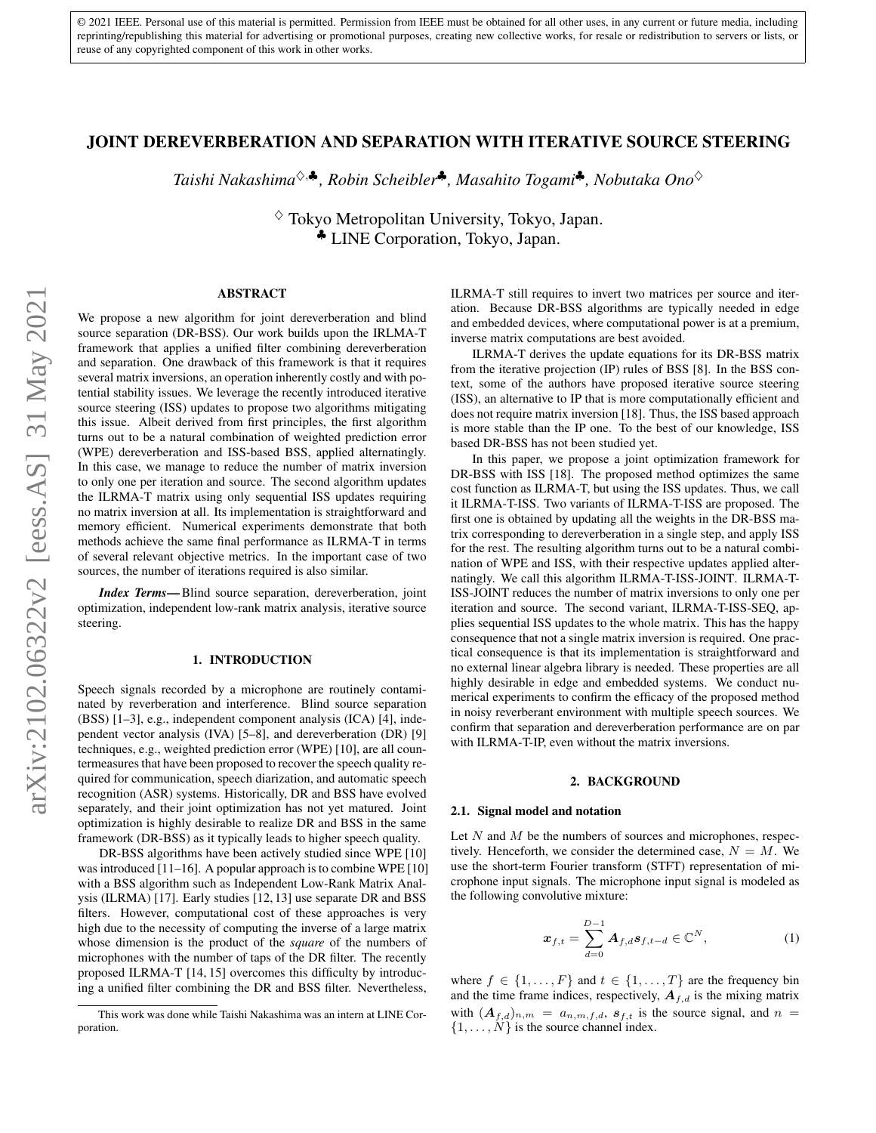© 2021 IEEE. Personal use of this material is permitted. Permission from IEEE must be obtained for all other uses, in any current or future media, including reprinting/republishing this material for advertising or promotional purposes, creating new collective works, for resale or redistribution to servers or lists, or reuse of any copyrighted component of this work in other works.

# JOINT DEREVERBERATION AND SEPARATION WITH ITERATIVE SOURCE STEERING

*Taishi Nakashima*♦,♣*, Robin Scheibler*♣*, Masahito Togami*♣*, Nobutaka Ono*♦

 $\diamond$  Tokyo Metropolitan University, Tokyo, Japan. ♣ LINE Corporation, Tokyo, Japan.

### ABSTRACT

We propose a new algorithm for joint dereverberation and blind source separation (DR-BSS). Our work builds upon the IRLMA-T framework that applies a unified filter combining dereverberation and separation. One drawback of this framework is that it requires several matrix inversions, an operation inherently costly and with potential stability issues. We leverage the recently introduced iterative source steering (ISS) updates to propose two algorithms mitigating this issue. Albeit derived from first principles, the first algorithm turns out to be a natural combination of weighted prediction error (WPE) dereverberation and ISS-based BSS, applied alternatingly. In this case, we manage to reduce the number of matrix inversion to only one per iteration and source. The second algorithm updates the ILRMA-T matrix using only sequential ISS updates requiring no matrix inversion at all. Its implementation is straightforward and memory efficient. Numerical experiments demonstrate that both methods achieve the same final performance as ILRMA-T in terms of several relevant objective metrics. In the important case of two sources, the number of iterations required is also similar.

*Index Terms*— Blind source separation, dereverberation, joint optimization, independent low-rank matrix analysis, iterative source steering.

## 1. INTRODUCTION

Speech signals recorded by a microphone are routinely contaminated by reverberation and interference. Blind source separation (BSS) [\[1](#page-3-0)[–3\]](#page-3-1), e.g., independent component analysis (ICA) [\[4\]](#page-4-0), independent vector analysis (IVA) [\[5–](#page-4-1)[8\]](#page-4-2), and dereverberation (DR) [\[9\]](#page-4-3) techniques, e.g., weighted prediction error (WPE) [\[10\]](#page-4-4), are all countermeasures that have been proposed to recover the speech quality required for communication, speech diarization, and automatic speech recognition (ASR) systems. Historically, DR and BSS have evolved separately, and their joint optimization has not yet matured. Joint optimization is highly desirable to realize DR and BSS in the same framework (DR-BSS) as it typically leads to higher speech quality.

DR-BSS algorithms have been actively studied since WPE [\[10\]](#page-4-4) was introduced [\[11](#page-4-5)[–16\]](#page-4-6). A popular approach is to combine WPE [\[10\]](#page-4-4) with a BSS algorithm such as Independent Low-Rank Matrix Analysis (ILRMA) [\[17\]](#page-4-7). Early studies [\[12,](#page-4-8) [13\]](#page-4-9) use separate DR and BSS filters. However, computational cost of these approaches is very high due to the necessity of computing the inverse of a large matrix whose dimension is the product of the *square* of the numbers of microphones with the number of taps of the DR filter. The recently proposed ILRMA-T [\[14,](#page-4-10) [15\]](#page-4-11) overcomes this difficulty by introducing a unified filter combining the DR and BSS filter. Nevertheless,

ILRMA-T still requires to invert two matrices per source and iteration. Because DR-BSS algorithms are typically needed in edge and embedded devices, where computational power is at a premium, inverse matrix computations are best avoided.

ILRMA-T derives the update equations for its DR-BSS matrix from the iterative projection (IP) rules of BSS [\[8\]](#page-4-2). In the BSS context, some of the authors have proposed iterative source steering (ISS), an alternative to IP that is more computationally efficient and does not require matrix inversion [\[18\]](#page-4-12). Thus, the ISS based approach is more stable than the IP one. To the best of our knowledge, ISS based DR-BSS has not been studied yet.

In this paper, we propose a joint optimization framework for DR-BSS with ISS [\[18\]](#page-4-12). The proposed method optimizes the same cost function as ILRMA-T, but using the ISS updates. Thus, we call it ILRMA-T-ISS. Two variants of ILRMA-T-ISS are proposed. The first one is obtained by updating all the weights in the DR-BSS matrix corresponding to dereverberation in a single step, and apply ISS for the rest. The resulting algorithm turns out to be a natural combination of WPE and ISS, with their respective updates applied alternatingly. We call this algorithm ILRMA-T-ISS-JOINT. ILRMA-T-ISS-JOINT reduces the number of matrix inversions to only one per iteration and source. The second variant, ILRMA-T-ISS-SEQ, applies sequential ISS updates to the whole matrix. This has the happy consequence that not a single matrix inversion is required. One practical consequence is that its implementation is straightforward and no external linear algebra library is needed. These properties are all highly desirable in edge and embedded systems. We conduct numerical experiments to confirm the efficacy of the proposed method in noisy reverberant environment with multiple speech sources. We confirm that separation and dereverberation performance are on par with ILRMA-T-IP, even without the matrix inversions.

#### 2. BACKGROUND

### 2.1. Signal model and notation

Let  $N$  and  $M$  be the numbers of sources and microphones, respectively. Henceforth, we consider the determined case,  $N = M$ . We use the short-term Fourier transform (STFT) representation of microphone input signals. The microphone input signal is modeled as the following convolutive mixture:

<span id="page-0-0"></span>
$$
\boldsymbol{x}_{f,t} = \sum_{d=0}^{D-1} \boldsymbol{A}_{f,d} \boldsymbol{s}_{f,t-d} \in \mathbb{C}^N, \tag{1}
$$

where  $f \in \{1, \ldots, F\}$  and  $t \in \{1, \ldots, T\}$  are the frequency bin and the time frame indices, respectively,  $A_{f,d}$  is the mixing matrix with  $(A_{f,d})_{n,m} = a_{n,m,f,d}, s_{f,t}$  is the source signal, and  $n =$  $\{1, \ldots, N\}$  is the source channel index.

This work was done while Taishi Nakashima was an intern at LINE Corporation.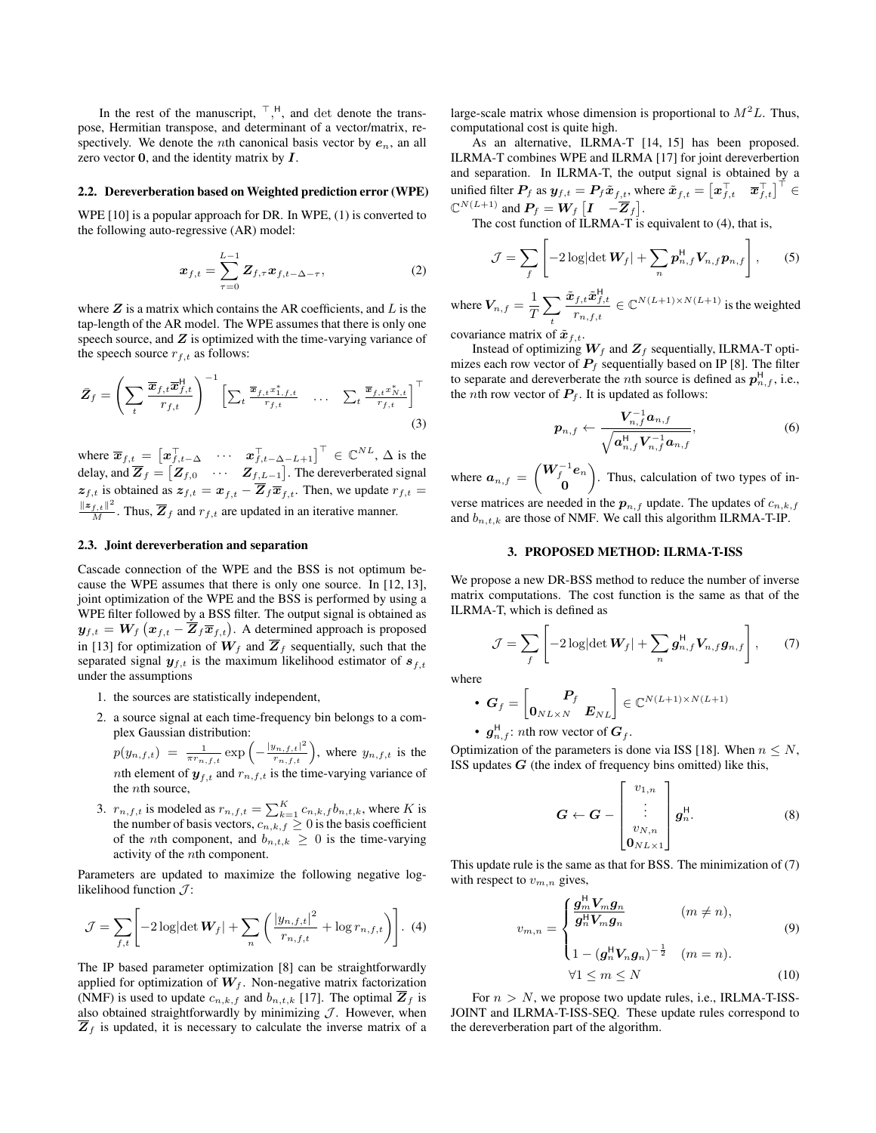In the rest of the manuscript,  $\begin{bmatrix} 1 \\ 1 \end{bmatrix}$ , and det denote the transpose, Hermitian transpose, and determinant of a vector/matrix, respectively. We denote the *n*th canonical basis vector by  $e_n$ , an all zero vector  $0$ , and the identity matrix by  $I$ .

### 2.2. Dereverberation based on Weighted prediction error (WPE)

WPE [\[10\]](#page-4-4) is a popular approach for DR. In WPE, [\(1\)](#page-0-0) is converted to the following auto-regressive (AR) model:

$$
\boldsymbol{x}_{f,t} = \sum_{\tau=0}^{L-1} \boldsymbol{Z}_{f,\tau} \boldsymbol{x}_{f,t-\Delta-\tau},
$$
\n(2)

where  $Z$  is a matrix which contains the AR coefficients, and  $L$  is the tap-length of the AR model. The WPE assumes that there is only one speech source, and  $Z$  is optimized with the time-varying variance of the speech source  $r_{f,t}$  as follows:

$$
\bar{Z}_f = \left(\sum_t \frac{\overline{x}_{f,t}\overline{x}_{f,t}^{\mathsf{H}}}{r_{f,t}}\right)^{-1} \left[\sum_t \frac{\overline{x}_{f,t}x_{1,f,t}^*}{r_{f,t}} \quad \dots \quad \sum_t \frac{\overline{x}_{f,t}x_{N,t}^*}{r_{f,t}}\right]^{\top}
$$
\n(3)

where  $\overline{x}_{f,t} = \begin{bmatrix} x_{f,t-\Delta}^{\top} & \cdots & x_{f,t-\Delta-L+1}^{\top} \end{bmatrix}^{\top} \in \mathbb{C}^{NL}, \Delta$  is the delay, and  $\overline{Z}_f = [\overline{Z}_{f,0} \quad \cdots \quad \overline{Z}_{f,L-1}]$ . The dereverberated signal  $z_{f,t}$  is obtained as  $z_{f,t} = x_{f,t} - \overline{Z}_f \overline{x}_{f,t}$ . Then, we update  $r_{f,t} =$  $\frac{\|z_{f,t}\|^2}{M}$ . Thus,  $\overline{Z}_f$  and  $r_{f,t}$  are updated in an iterative manner.

# 2.3. Joint dereverberation and separation

Cascade connection of the WPE and the BSS is not optimum because the WPE assumes that there is only one source. In [\[12,](#page-4-8) [13\]](#page-4-9), joint optimization of the WPE and the BSS is performed by using a WPE filter followed by a BSS filter. The output signal is obtained as  $\bm{y}_{f,t} = \bm{W}_f \left( \bm{x}_{f,t} - \overline{\bm{Z}}_f \overline{\bm{x}}_{f,t} \right)$ . A determined approach is proposed in [\[13\]](#page-4-9) for optimization of  $W_f$  and  $\overline{Z}_f$  sequentially, such that the separated signal  $y_{f,t}$  is the maximum likelihood estimator of  $s_{f,t}$ under the assumptions

- 1. the sources are statistically independent,
- 2. a source signal at each time-frequency bin belongs to a complex Gaussian distribution:
	- $p(y_{n,f,t}) = \frac{1}{\pi r_{n,f,t}} \exp\left(-\frac{|y_{n,f,t}|^2}{r_{n,f,t}}\right)$ , where  $y_{n,f,t}$  is the nth element of  $y_{f,t}$  and  $r_{n,f,t}$  is the time-varying variance of the nth source,
- 3.  $r_{n,f,t}$  is modeled as  $r_{n,f,t} = \sum_{k=1}^{K} c_{n,k,f} b_{n,t,k}$ , where K is the number of basis vectors,  $c_{n,k,f} \geq 0$  is the basis coefficient of the *n*th component, and  $b_{n,t,k} \geq 0$  is the time-varying activity of the nth component.

Parameters are updated to maximize the following negative loglikelihood function  $\mathcal{J}$ :

$$
\mathcal{J} = \sum_{f,t} \left[ -2 \log \left| \det \mathbf{W}_f \right| + \sum_n \left( \frac{|y_{n,f,t}|^2}{r_{n,f,t}} + \log r_{n,f,t} \right) \right]. \tag{4}
$$

The IP based parameter optimization [\[8\]](#page-4-2) can be straightforwardly applied for optimization of  $W_f$ . Non-negative matrix factorization (NMF) is used to update  $c_{n,k,f}$  and  $b_{n,t,k}$  [\[17\]](#page-4-7). The optimal  $\overline{Z}_f$  is also obtained straightforwardly by minimizing  $J$ . However, when  $\overline{Z}_f$  is updated, it is necessary to calculate the inverse matrix of a

large-scale matrix whose dimension is proportional to  $M<sup>2</sup>L$ . Thus, computational cost is quite high.

As an alternative, ILRMA-T [\[14,](#page-4-10) [15\]](#page-4-11) has been proposed. ILRMA-T combines WPE and ILRMA [\[17\]](#page-4-7) for joint dereverbertion and separation. In ILRMA-T, the output signal is obtained by a unified filter  $P_f$  as  $y_{f,t} = P_f \tilde{x}_{f,t}$ , where  $\tilde{x}_{f,t} = \begin{bmatrix} x_{f,t}^\top & \overline{x}_{f,t}^\top \end{bmatrix}^\top \in$  $\mathbb{C}^{N(L+1)}$  and  $P_f = W_f \begin{bmatrix} I & -\overline{Z}_f \end{bmatrix}$ .

The cost function of ILRMA-T is equivalent to  $(4)$ , that is,

$$
\mathcal{J} = \sum_{f} \left[ -2 \log \left| \det \mathbf{W}_f \right| + \sum_{n} \boldsymbol{p}_{n,f}^{\mathsf{H}} \mathbf{V}_{n,f} \boldsymbol{p}_{n,f} \right], \qquad (5)
$$

where  $V_{n,f} = \frac{1}{T}$ T  $\sum$ t  $\tilde{\bm{x}}_{f,t}\tilde{\bm{x}}_{f,t}^{\sf H}$  $\frac{f,t\cdot \boldsymbol{x}_{f,t}}{r_{n,f,t}} \in \mathbb{C}^{N(L+1)\times N(L+1)}$  is the weighted

covariance matrix of  $\tilde{\boldsymbol{x}}_{f,t}$ .

Instead of optimizing  $W_f$  and  $Z_f$  sequentially, ILRMA-T optimizes each row vector of  $P_f$  sequentially based on IP [\[8\]](#page-4-2). The filter to separate and dereverberate the *n*th source is defined as  $p_{n,f}^{\mathsf{H}}$ , *i.e.*, the *n*th row vector of  $P_f$ . It is updated as follows:

$$
p_{n,f} \leftarrow \frac{V_{n,f}^{-1}a_{n,f}}{\sqrt{a_{n,f}^{\mathsf{H}}V_{n,f}^{-1}a_{n,f}}},\tag{6}
$$

where  $a_{n,f} = \begin{pmatrix} W_f^{-1}e_n \\ 0 \end{pmatrix}$ 0 . Thus, calculation of two types of in-

verse matrices are needed in the  $p_{n,f}$  update. The updates of  $c_{n,k,f}$ and  $b_{n,t,k}$  are those of NMF. We call this algorithm ILRMA-T-IP.

# 3. PROPOSED METHOD: ILRMA-T-ISS

We propose a new DR-BSS method to reduce the number of inverse matrix computations. The cost function is the same as that of the ILRMA-T, which is defined as

$$
\mathcal{J} = \sum_{f} \left[ -2 \log \left| \det \mathbf{W}_f \right| + \sum_{n} \mathbf{g}_{n,f}^{\mathsf{H}} \mathbf{V}_{n,f} \mathbf{g}_{n,f} \right], \qquad (7)
$$

where

• 
$$
G_f = \begin{bmatrix} P_f \\ 0_{N L \times N} & E_{NL} \end{bmatrix} \in \mathbb{C}^{N(L+1) \times N(L+1)}
$$
  
\n•  $g_{n,f}^H$ : *n*th row vector of  $G_f$ .

Optimization of the parameters is done via ISS [\[18\]](#page-4-12). When  $n \leq N$ , ISS updates  $G$  (the index of frequency bins omitted) like this,

<span id="page-1-1"></span>
$$
\boldsymbol{G} \leftarrow \boldsymbol{G} - \begin{bmatrix} v_{1,n} \\ \vdots \\ v_{N,n} \\ 0_{N L \times 1} \end{bmatrix} \boldsymbol{g}_n^{\text{H}}.
$$
 (8)

<span id="page-1-0"></span>This update rule is the same as that for BSS. The minimization of [\(7\)](#page-1-1) with respect to  $v_{m,n}$  gives,

$$
v_{m,n} = \begin{cases} \frac{g_m^{\text{H}} V_m g_n}{g_n^{\text{H}} V_m g_n} & (m \neq n), \\ 1 - (g_n^{\text{H}} V_n g_n)^{-\frac{1}{2}} & (m = n). \end{cases}
$$
(9)

$$
\forall 1 \le m \le N \tag{10}
$$

For  $n > N$ , we propose two update rules, i.e., IRLMA-T-ISS-JOINT and ILRMA-T-ISS-SEQ. These update rules correspond to the dereverberation part of the algorithm.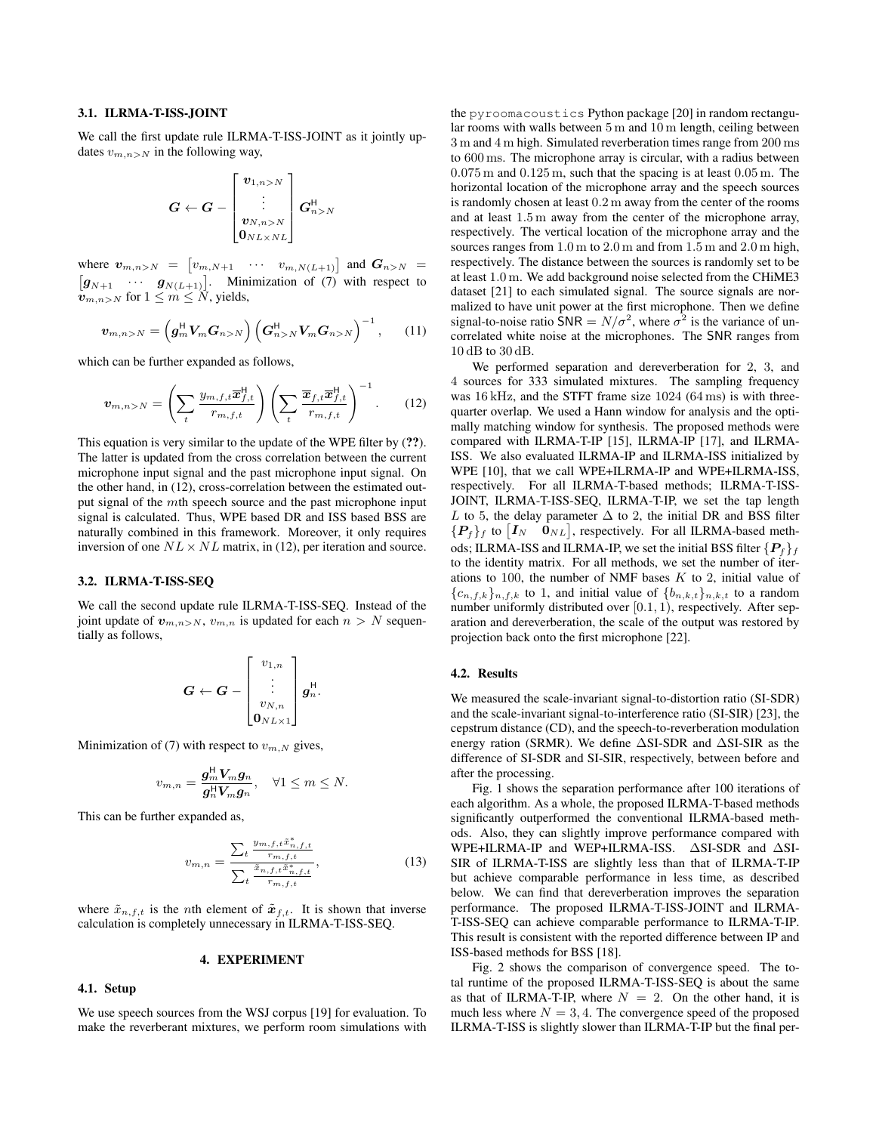### 3.1. ILRMA-T-ISS-JOINT

We call the first update rule ILRMA-T-ISS-JOINT as it jointly updates  $v_{m,n>N}$  in the following way,

$$
\boldsymbol{G} \leftarrow \boldsymbol{G} - \begin{bmatrix} \boldsymbol{v}_{1,n>N} \\ \vdots \\ \boldsymbol{v}_{N,n>N} \\ \boldsymbol{0}_{NL\times NL} \end{bmatrix} \boldsymbol{G}^\mathsf{H}_{n>N}
$$

where  $v_{m,n>N} = \begin{bmatrix} v_{m,N+1} & \cdots & v_{m,N(L+1)} \end{bmatrix}$  and  $G_{n>N}$  $[g_{N+1} \cdots g_{N(L+1)}].$  Minimization of [\(7\)](#page-1-1) with respect to  $v_{m,n>N}$  for  $1 \leq m \leq N$ , yields,

$$
\boldsymbol{v}_{m,n>N} = \left(\boldsymbol{g}_m^{\mathsf{H}} \boldsymbol{V}_m \boldsymbol{G}_{n>N}\right) \left(\boldsymbol{G}_{n>N}^{\mathsf{H}} \boldsymbol{V}_m \boldsymbol{G}_{n>N}\right)^{-1},\qquad(11)
$$

which can be further expanded as follows,

$$
\boldsymbol{v}_{m,n>N} = \left(\sum_{t} \frac{y_{m,f,t}\overline{\boldsymbol{x}}_{f,t}^{\mathsf{H}}}{r_{m,f,t}}\right) \left(\sum_{t} \frac{\overline{\boldsymbol{x}}_{f,t}\overline{\boldsymbol{x}}_{f,t}^{\mathsf{H}}}{r_{m,f,t}}\right)^{-1}.
$$
 (12)

This equation is very similar to the update of the WPE filter by (??). The latter is updated from the cross correlation between the current microphone input signal and the past microphone input signal. On the other hand, in [\(12\)](#page-2-0), cross-correlation between the estimated output signal of the mth speech source and the past microphone input signal is calculated. Thus, WPE based DR and ISS based BSS are naturally combined in this framework. Moreover, it only requires inversion of one  $NL \times NL$  matrix, in [\(12\)](#page-2-0), per iteration and source.

## 3.2. ILRMA-T-ISS-SEQ

We call the second update rule ILRMA-T-ISS-SEQ. Instead of the joint update of  $v_{m,n>N}$ ,  $v_{m,n}$  is updated for each  $n > N$  sequentially as follows,

$$
\boldsymbol{G} \leftarrow \boldsymbol{G} - \begin{bmatrix} v_{1,n} \\ \vdots \\ v_{N,n} \\ 0_{NL\times 1} \end{bmatrix} \boldsymbol{g}_n^{\mathsf{H}}.
$$

Minimization of [\(7\)](#page-1-1) with respect to  $v_{m,N}$  gives,

$$
v_{m,n} = \frac{\boldsymbol{g}_m^{\mathsf{H}} \boldsymbol{V}_m \boldsymbol{g}_n}{\boldsymbol{g}_n^{\mathsf{H}} \boldsymbol{V}_m \boldsymbol{g}_n}, \quad \forall 1 \leq m \leq N.
$$

This can be further expanded as,

$$
v_{m,n} = \frac{\sum_{t} \frac{y_{m,f,t}\tilde{x}_{n,f,t}^*}{r_{m,f,t}}}{\sum_{t} \frac{\tilde{x}_{n,f,t}\tilde{x}_{n,f,t}^*}{r_{m,f,t}}},
$$
(13)

where  $\tilde{x}_{n,f,t}$  is the *n*th element of  $\tilde{x}_{f,t}$ . It is shown that inverse calculation is completely unnecessary in ILRMA-T-ISS-SEQ.

# 4. EXPERIMENT

## 4.1. Setup

We use speech sources from the WSJ corpus [\[19\]](#page-4-13) for evaluation. To make the reverberant mixtures, we perform room simulations with the pyroomacoustics Python package [\[20\]](#page-4-14) in random rectangular rooms with walls between 5 m and 10 m length, ceiling between 3 m and 4 m high. Simulated reverberation times range from 200 ms to 600 ms. The microphone array is circular, with a radius between 0.075 m and 0.125 m, such that the spacing is at least 0.05 m. The horizontal location of the microphone array and the speech sources is randomly chosen at least 0.2 m away from the center of the rooms and at least 1.5 m away from the center of the microphone array, respectively. The vertical location of the microphone array and the sources ranges from 1.0 m to 2.0 m and from 1.5 m and 2.0 m high, respectively. The distance between the sources is randomly set to be at least 1.0 m. We add background noise selected from the CHiME3 dataset [\[21\]](#page-4-15) to each simulated signal. The source signals are normalized to have unit power at the first microphone. Then we define signal-to-noise ratio SNR =  $N/\sigma^2$ , where  $\sigma^2$  is the variance of uncorrelated white noise at the microphones. The SNR ranges from 10 dB to 30 dB.

<span id="page-2-0"></span>We performed separation and dereverberation for 2, 3, and 4 sources for 333 simulated mixtures. The sampling frequency was 16 kHz, and the STFT frame size 1024 (64 ms) is with threequarter overlap. We used a Hann window for analysis and the optimally matching window for synthesis. The proposed methods were compared with ILRMA-T-IP [\[15\]](#page-4-11), ILRMA-IP [\[17\]](#page-4-7), and ILRMA-ISS. We also evaluated ILRMA-IP and ILRMA-ISS initialized by WPE [\[10\]](#page-4-4), that we call WPE+ILRMA-IP and WPE+ILRMA-ISS, respectively. For all ILRMA-T-based methods; ILRMA-T-ISS-JOINT, ILRMA-T-ISS-SEQ, ILRMA-T-IP, we set the tap length L to 5, the delay parameter  $\Delta$  to 2, the initial DR and BSS filter  $\{P_f\}_f$  to  $[I_N \quad 0_{NL}]$ , respectively. For all ILRMA-based methods; ILRMA-ISS and ILRMA-IP, we set the initial BSS filter  ${P<sub>f</sub>}<sub>f</sub>$ to the identity matrix. For all methods, we set the number of iterations to 100, the number of NMF bases  $K$  to 2, initial value of  ${c_{n,f,k}}_{n,f,k}$  to 1, and initial value of  ${b_{n,k,t}}_{n,k,t}$  to a random number uniformly distributed over  $[0.1, 1)$ , respectively. After separation and dereverberation, the scale of the output was restored by projection back onto the first microphone [\[22\]](#page-4-16).

#### 4.2. Results

We measured the scale-invariant signal-to-distortion ratio (SI-SDR) and the scale-invariant signal-to-interference ratio (SI-SIR) [\[23\]](#page-4-17), the cepstrum distance (CD), and the speech-to-reverberation modulation energy ration (SRMR). We define ∆SI-SDR and ∆SI-SIR as the difference of SI-SDR and SI-SIR, respectively, between before and after the processing.

[Fig. 1](#page-3-2) shows the separation performance after 100 iterations of each algorithm. As a whole, the proposed ILRMA-T-based methods significantly outperformed the conventional ILRMA-based methods. Also, they can slightly improve performance compared with WPE+ILRMA-IP and WEP+ILRMA-ISS. ∆SI-SDR and ∆SI-SIR of ILRMA-T-ISS are slightly less than that of ILRMA-T-IP but achieve comparable performance in less time, as described below. We can find that dereverberation improves the separation performance. The proposed ILRMA-T-ISS-JOINT and ILRMA-T-ISS-SEQ can achieve comparable performance to ILRMA-T-IP. This result is consistent with the reported difference between IP and ISS-based methods for BSS [\[18\]](#page-4-12).

[Fig. 2](#page-3-3) shows the comparison of convergence speed. The total runtime of the proposed ILRMA-T-ISS-SEQ is about the same as that of ILRMA-T-IP, where  $N = 2$ . On the other hand, it is much less where  $N = 3, 4$ . The convergence speed of the proposed ILRMA-T-ISS is slightly slower than ILRMA-T-IP but the final per-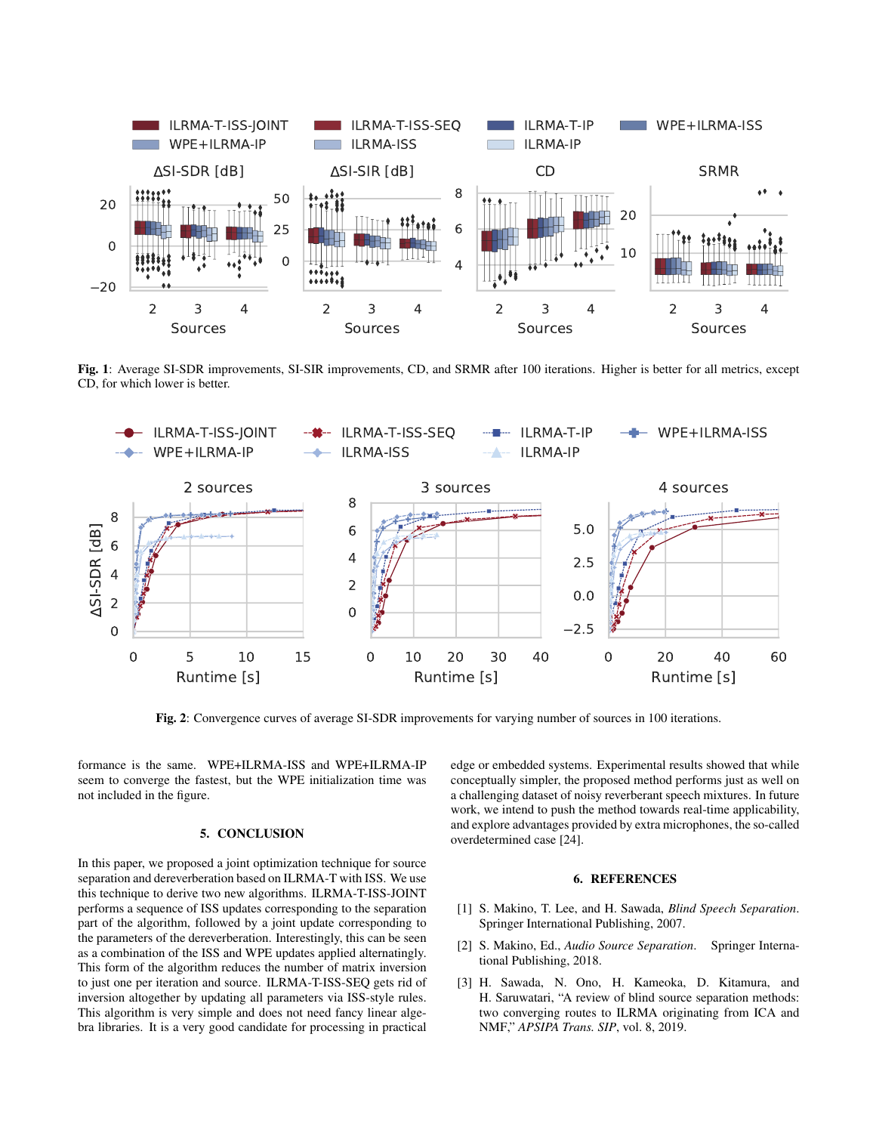<span id="page-3-2"></span>

Fig. 1: Average SI-SDR improvements, SI-SIR improvements, CD, and SRMR after 100 iterations. Higher is better for all metrics, except CD, for which lower is better.

<span id="page-3-3"></span>

Fig. 2: Convergence curves of average SI-SDR improvements for varying number of sources in 100 iterations.

formance is the same. WPE+ILRMA-ISS and WPE+ILRMA-IP seem to converge the fastest, but the WPE initialization time was not included in the figure.

# 5. CONCLUSION

In this paper, we proposed a joint optimization technique for source separation and dereverberation based on ILRMA-T with ISS. We use this technique to derive two new algorithms. ILRMA-T-ISS-JOINT performs a sequence of ISS updates corresponding to the separation part of the algorithm, followed by a joint update corresponding to the parameters of the dereverberation. Interestingly, this can be seen as a combination of the ISS and WPE updates applied alternatingly. This form of the algorithm reduces the number of matrix inversion to just one per iteration and source. ILRMA-T-ISS-SEQ gets rid of inversion altogether by updating all parameters via ISS-style rules. This algorithm is very simple and does not need fancy linear algebra libraries. It is a very good candidate for processing in practical edge or embedded systems. Experimental results showed that while conceptually simpler, the proposed method performs just as well on a challenging dataset of noisy reverberant speech mixtures. In future work, we intend to push the method towards real-time applicability, and explore advantages provided by extra microphones, the so-called overdetermined case [\[24\]](#page-4-18).

### 6. REFERENCES

- <span id="page-3-0"></span>[1] S. Makino, T. Lee, and H. Sawada, *Blind Speech Separation*. Springer International Publishing, 2007.
- [2] S. Makino, Ed., *Audio Source Separation*. Springer International Publishing, 2018.
- <span id="page-3-1"></span>[3] H. Sawada, N. Ono, H. Kameoka, D. Kitamura, and H. Saruwatari, "A review of blind source separation methods: two converging routes to ILRMA originating from ICA and NMF," *APSIPA Trans. SIP*, vol. 8, 2019.